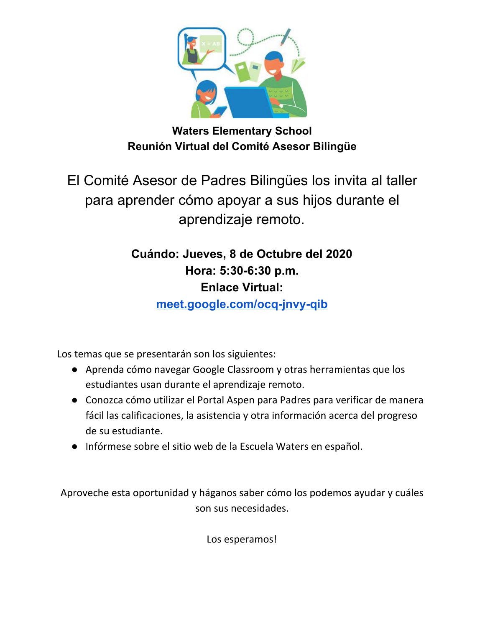

**Waters Elementary School Reunión Virtual del Comité Asesor Bilingüe**

El Comité Asesor de Padres Bilingües los invita al taller para aprender cómo apoyar a sus hijos durante el aprendizaje remoto.

> **Cuándo: Jueves, 8 de Octubre del 2020 Hora: 5:30-6:30 p.m. Enlace Virtual:**

> > **[meet.google.com/ocq-jnvy-qib](http://meet.google.com/ocq-jnvy-qib)**

Los temas que se presentarán son los siguientes:

- Aprenda cómo navegar Google Classroom y otras herramientas que los estudiantes usan durante el aprendizaje remoto.
- Conozca cómo utilizar el Portal Aspen para Padres para verificar de manera fácil las calificaciones, la asistencia y otra información acerca del progreso de su estudiante.
- Infórmese sobre el sitio web de la Escuela Waters en español.

Aproveche esta oportunidad y háganos saber cómo los podemos ayudar y cuáles son sus necesidades.

Los esperamos!